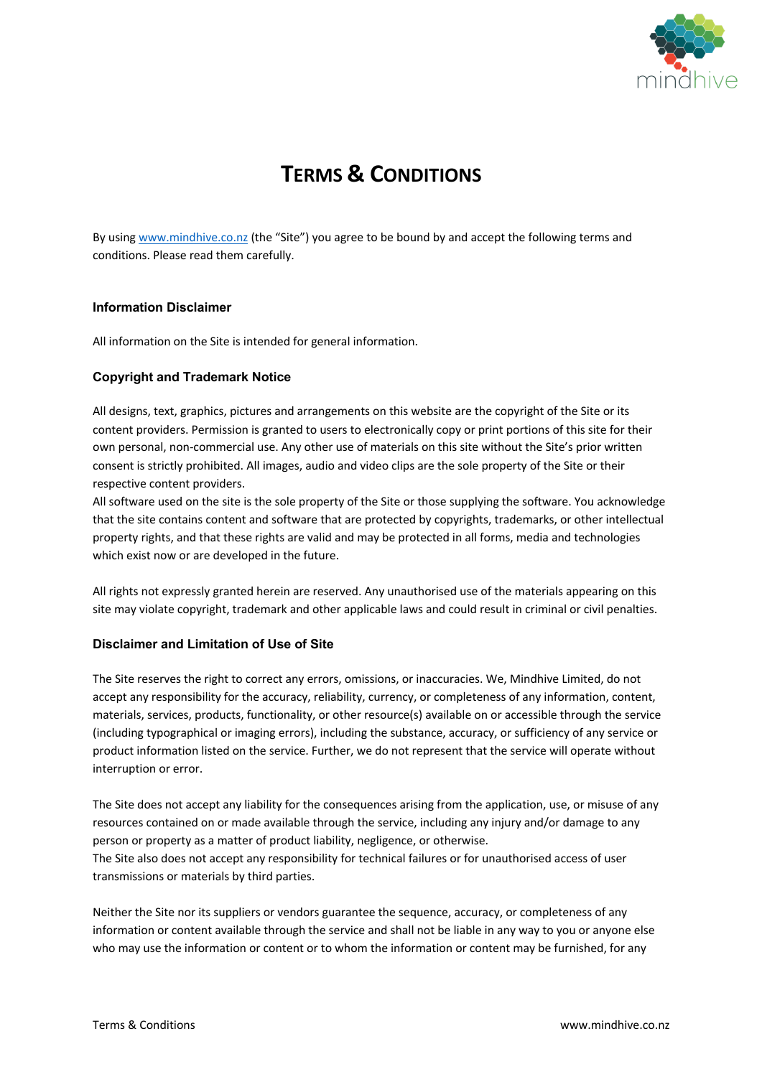

# **TERMS & CONDITIONS**

By using www.mindhive.co.nz (the "Site") you agree to be bound by and accept the following terms and conditions. Please read them carefully.

#### **Information Disclaimer**

All information on the Site is intended for general information.

### **Copyright and Trademark Notice**

All designs, text, graphics, pictures and arrangements on this website are the copyright of the Site or its content providers. Permission is granted to users to electronically copy or print portions of this site for their own personal, non-commercial use. Any other use of materials on this site without the Site's prior written consent is strictly prohibited. All images, audio and video clips are the sole property of the Site or their respective content providers.

All software used on the site is the sole property of the Site or those supplying the software. You acknowledge that the site contains content and software that are protected by copyrights, trademarks, or other intellectual property rights, and that these rights are valid and may be protected in all forms, media and technologies which exist now or are developed in the future.

All rights not expressly granted herein are reserved. Any unauthorised use of the materials appearing on this site may violate copyright, trademark and other applicable laws and could result in criminal or civil penalties.

### **Disclaimer and Limitation of Use of Site**

The Site reserves the right to correct any errors, omissions, or inaccuracies. We, Mindhive Limited, do not accept any responsibility for the accuracy, reliability, currency, or completeness of any information, content, materials, services, products, functionality, or other resource(s) available on or accessible through the service (including typographical or imaging errors), including the substance, accuracy, or sufficiency of any service or product information listed on the service. Further, we do not represent that the service will operate without interruption or error.

The Site does not accept any liability for the consequences arising from the application, use, or misuse of any resources contained on or made available through the service, including any injury and/or damage to any person or property as a matter of product liability, negligence, or otherwise. The Site also does not accept any responsibility for technical failures or for unauthorised access of user transmissions or materials by third parties.

Neither the Site nor its suppliers or vendors guarantee the sequence, accuracy, or completeness of any information or content available through the service and shall not be liable in any way to you or anyone else who may use the information or content or to whom the information or content may be furnished, for any